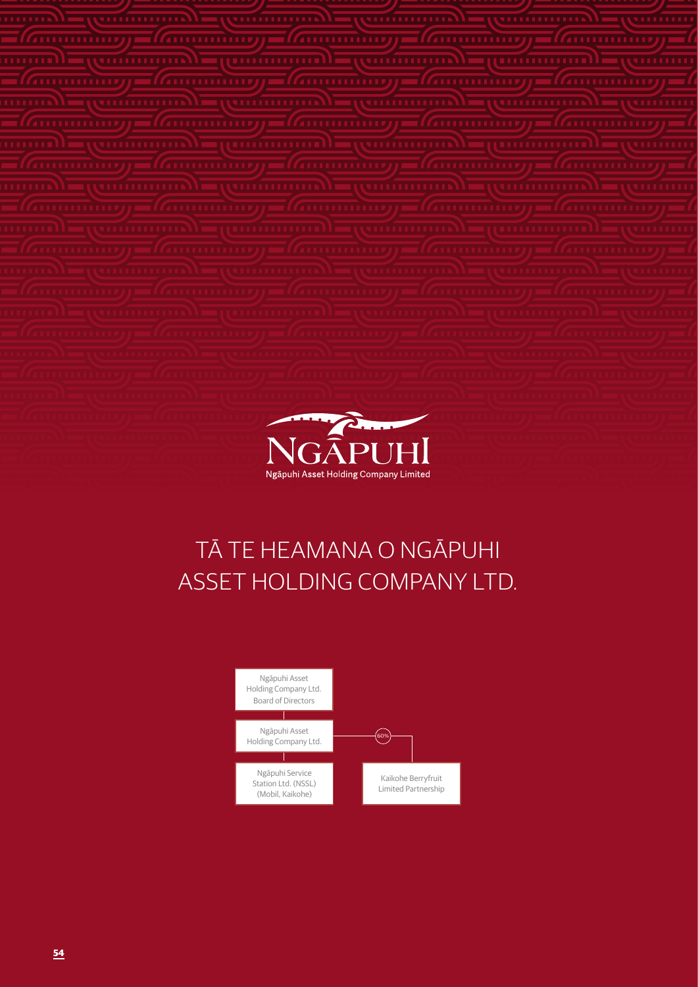

### TĀ TE HEAMANA O NGĀPUHI ASSET HOLDING COMPANY LTD.

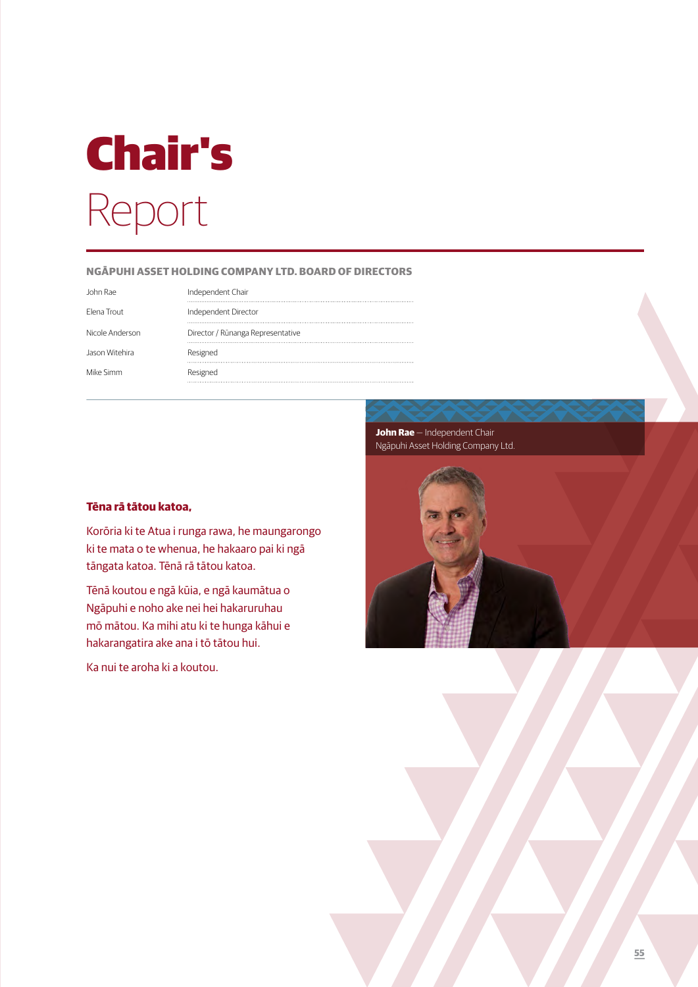# Chair's Report

#### **NGĀPUHI ASSET HOLDING COMPANY LTD. BOARD OF DIRECTORS**

John Rae Elena Trout

Nicole Anderso

Jason Witehira

Mike Simm

|  | Independent Chair                 |
|--|-----------------------------------|
|  | Independent Director              |
|  | Director / Rūnanga Representative |
|  | Resigned                          |
|  | Resigned                          |

#### **Tēna rā tātou katoa,**

Korōria ki te Atua i runga rawa, he maungarongo ki te mata o te whenua, he hakaaro pai ki ngā tāngata katoa. Tēnā rā tātou katoa.

Tēnā koutou e ngā kūia, e ngā kaumātua o Ngāpuhi e noho ake nei hei hakaruruhau mō mātou. Ka mihi atu ki te hunga kāhui e hakarangatira ake ana i tō tātou hui.

Ka nui te aroha ki a koutou.

**John Rae** — Independent Chair Ngāpuhi Asset Holding Company Ltd.

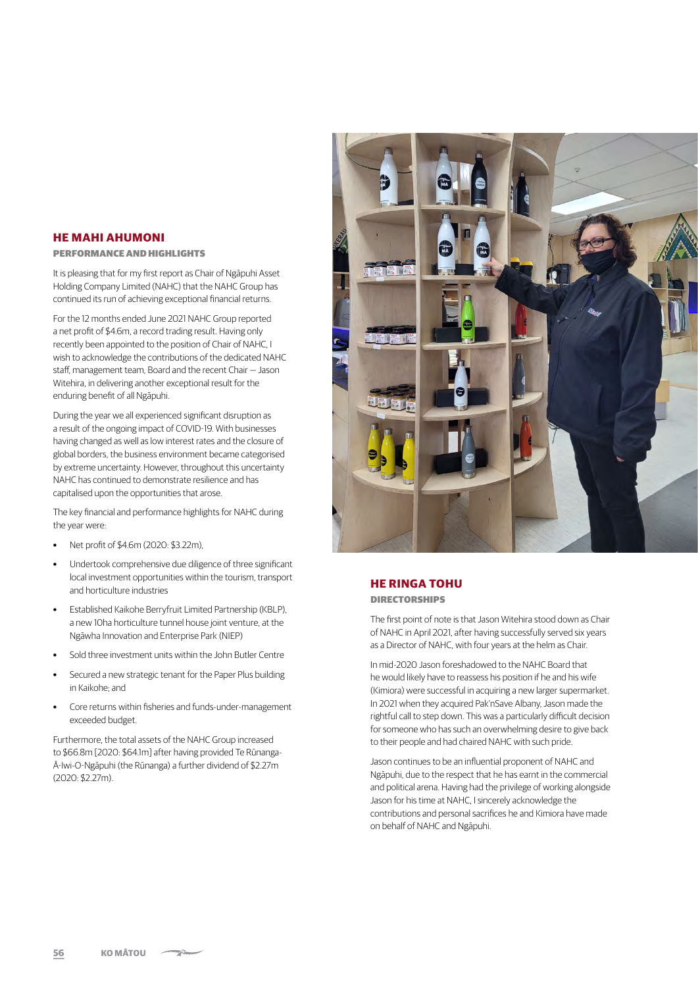#### **HE MAHI AHUMONI**

#### PERFORMANCE AND HIGHLIGHTS

It is pleasing that for my first report as Chair of Ngāpuhi Asset Holding Company Limited (NAHC) that the NAHC Group has continued its run of achieving exceptional financial returns.

For the 12 months ended June 2021 NAHC Group reported a net profit of \$4.6m, a record trading result. Having only recently been appointed to the position of Chair of NAHC, I wish to acknowledge the contributions of the dedicated NAHC staff, management team, Board and the recent Chair — Jason Witehira, in delivering another exceptional result for the enduring benefit of all Ngāpuhi.

During the year we all experienced significant disruption as a result of the ongoing impact of COVID-19. With businesses having changed as well as low interest rates and the closure of global borders, the business environment became categorised by extreme uncertainty. However, throughout this uncertainty NAHC has continued to demonstrate resilience and has capitalised upon the opportunities that arose.

The key financial and performance highlights for NAHC during the year were:

- **•** Net profit of \$4.6m (2020: \$3.22m),
- **•** Undertook comprehensive due diligence of three significant local investment opportunities within the tourism, transport and horticulture industries
- **•** Established Kaikohe Berryfruit Limited Partnership (KBLP), a new 10ha horticulture tunnel house joint venture, at the Ngāwha Innovation and Enterprise Park (NIEP)
- **•** Sold three investment units within the John Butler Centre
- **•** Secured a new strategic tenant for the Paper Plus building in Kaikohe; and
- **•** Core returns within fisheries and funds-under-management exceeded budget.

Furthermore, the total assets of the NAHC Group increased to \$66.8m [2020: \$64.1m] after having provided Te Rūnanga-Ā-Iwi-O-Ngāpuhi (the Rūnanga) a further dividend of \$2.27m (2020: \$2.27m).



#### **HE RINGA TOHU** DIRECTORSHIPS

The first point of note is that Jason Witehira stood down as Chair of NAHC in April 2021, after having successfully served six years as a Director of NAHC, with four years at the helm as Chair.

In mid-2020 Jason foreshadowed to the NAHC Board that he would likely have to reassess his position if he and his wife (Kimiora) were successful in acquiring a new larger supermarket. In 2021 when they acquired Pak'nSave Albany, Jason made the rightful call to step down. This was a particularly difficult decision for someone who has such an overwhelming desire to give back to their people and had chaired NAHC with such pride.

Jason continues to be an influential proponent of NAHC and Ngāpuhi, due to the respect that he has earnt in the commercial and political arena. Having had the privilege of working alongside Jason for his time at NAHC, I sincerely acknowledge the contributions and personal sacrifices he and Kimiora have made on behalf of NAHC and Ngāpuhi.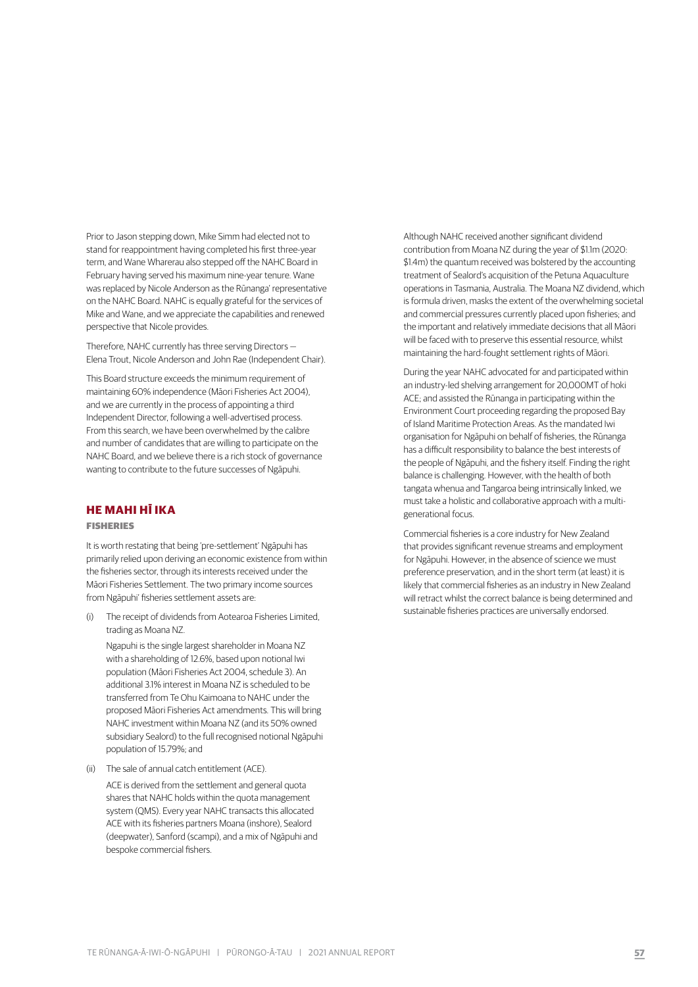Prior to Jason stepping down, Mike Simm had elected not to stand for reappointment having completed his first three-year term, and Wane Wharerau also stepped off the NAHC Board in February having served his maximum nine-year tenure. Wane was replaced by Nicole Anderson as the Rūnanga' representative on the NAHC Board. NAHC is equally grateful for the services of Mike and Wane, and we appreciate the capabilities and renewed perspective that Nicole provides.

Therefore, NAHC currently has three serving Directors — Elena Trout, Nicole Anderson and John Rae (Independent Chair).

This Board structure exceeds the minimum requirement of maintaining 60% independence (Māori Fisheries Act 2004), and we are currently in the process of appointing a third Independent Director, following a well-advertised process. From this search, we have been overwhelmed by the calibre and number of candidates that are willing to participate on the NAHC Board, and we believe there is a rich stock of governance wanting to contribute to the future successes of Ngāpuhi.

#### **HE MAHI HĪ IKA**

#### FISHERIES

It is worth restating that being 'pre-settlement' Ngāpuhi has primarily relied upon deriving an economic existence from within the fisheries sector, through its interests received under the Māori Fisheries Settlement. The two primary income sources from Ngāpuhi' fisheries settlement assets are:

(i) The receipt of dividends from Aotearoa Fisheries Limited, trading as Moana NZ.

Ngapuhi is the single largest shareholder in Moana NZ with a shareholding of 12.6%, based upon notional Iwi population (Māori Fisheries Act 2004, schedule 3). An additional 3.1% interest in Moana NZ is scheduled to be transferred from Te Ohu Kaimoana to NAHC under the proposed Māori Fisheries Act amendments. This will bring NAHC investment within Moana NZ (and its 50% owned subsidiary Sealord) to the full recognised notional Ngāpuhi population of 15.79%; and

(ii) The sale of annual catch entitlement (ACE).

ACE is derived from the settlement and general quota shares that NAHC holds within the quota management system (QMS). Every year NAHC transacts this allocated ACE with its fisheries partners Moana (inshore), Sealord (deepwater), Sanford (scampi), and a mix of Ngāpuhi and bespoke commercial fishers.

Although NAHC received another significant dividend contribution from Moana NZ during the year of \$1.1m (2020: \$1.4m) the quantum received was bolstered by the accounting treatment of Sealord's acquisition of the Petuna Aquaculture operations in Tasmania, Australia. The Moana NZ dividend, which is formula driven, masks the extent of the overwhelming societal and commercial pressures currently placed upon fisheries; and the important and relatively immediate decisions that all Māori will be faced with to preserve this essential resource, whilst maintaining the hard-fought settlement rights of Māori.

During the year NAHC advocated for and participated within an industry-led shelving arrangement for 20,000MT of hoki ACE; and assisted the Rūnanga in participating within the Environment Court proceeding regarding the proposed Bay of Island Maritime Protection Areas. As the mandated Iwi organisation for Ngāpuhi on behalf of fisheries, the Rūnanga has a difficult responsibility to balance the best interests of the people of Ngāpuhi, and the fishery itself. Finding the right balance is challenging. However, with the health of both tangata whenua and Tangaroa being intrinsically linked, we must take a holistic and collaborative approach with a multigenerational focus.

Commercial fisheries is a core industry for New Zealand that provides significant revenue streams and employment for Ngāpuhi. However, in the absence of science we must preference preservation, and in the short term (at least) it is likely that commercial fisheries as an industry in New Zealand will retract whilst the correct balance is being determined and sustainable fisheries practices are universally endorsed.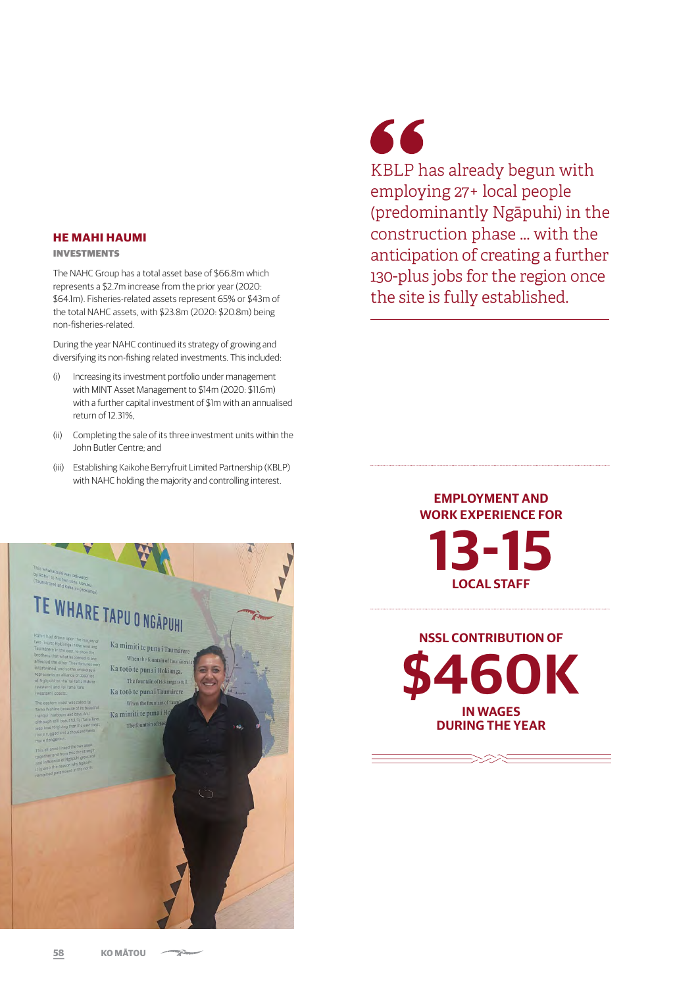#### **HE MAHI HAUMI**

#### INVESTMENTS

The NAHC Group has a total asset base of \$66.8m which represents a \$2.7m increase from the prior year (2020: \$64.1m). Fisheries-related assets represent 65% or \$43m of the total NAHC assets, with \$23.8m (2020: \$20.8m) being non-fisheries-related.

During the year NAHC continued its strategy of growing and diversifying its non-fishing related investments. This included:

- (i) Increasing its investment portfolio under management with MINT Asset Management to \$14m (2020: \$11.6m) with a further capital investment of \$1m with an annualised return of 12.31%,
- (ii) Completing the sale of its three investment units within the John Butler Centre; and
- (iii) Establishing Kaikohe Berryfruit Limited Partnership (KBLP) with NAHC holding the majority and controlling interest.



## 66

KBLP has already begun with employing 27+ local people (predominantly Ngāpuhi) in the construction phase ... with the anticipation of creating a further 130-plus jobs for the region once the site is fully established.

### **EMPLOYMENT AND WORK EXPERIENCE FOR 13-15 LOCAL STAFF**

**NSSL CONTRIBUTION OF \$460K IN WAGES DURING THE YEAR**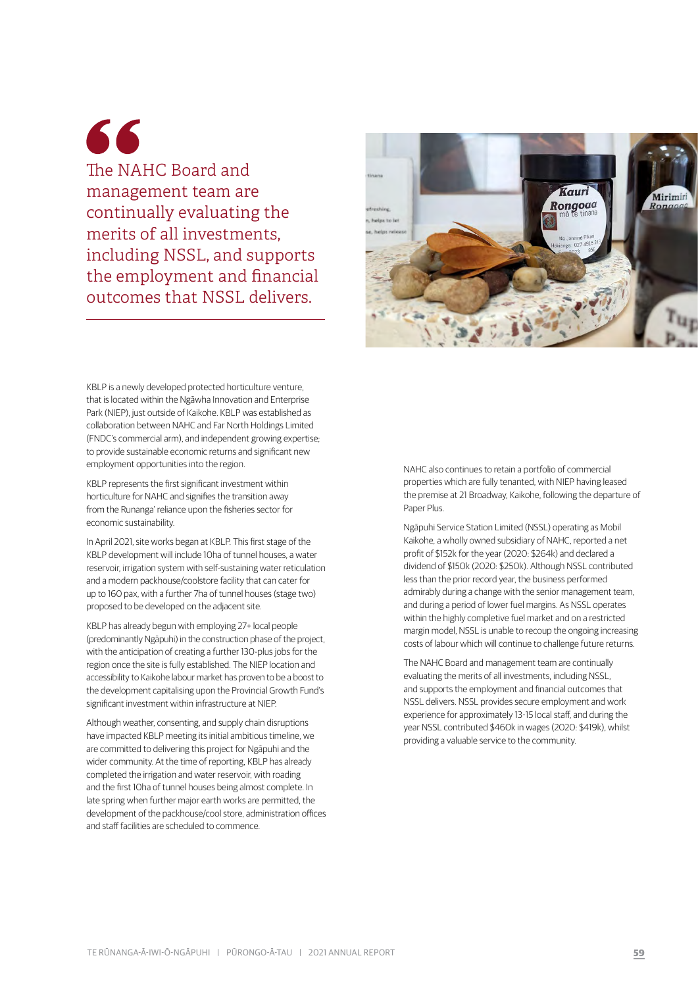66 The NAHC Board and management team are continually evaluating the merits of all investments, including NSSL, and supports the employment and financial outcomes that NSSL delivers.



KBLP is a newly developed protected horticulture venture, that is located within the Ngāwha Innovation and Enterprise Park (NIEP), just outside of Kaikohe. KBLP was established as collaboration between NAHC and Far North Holdings Limited (FNDC's commercial arm), and independent growing expertise; to provide sustainable economic returns and significant new employment opportunities into the region.

KBLP represents the first significant investment within horticulture for NAHC and signifies the transition away from the Runanga' reliance upon the fisheries sector for economic sustainability.

In April 2021, site works began at KBLP. This first stage of the KBLP development will include 10ha of tunnel houses, a water reservoir, irrigation system with self-sustaining water reticulation and a modern packhouse/coolstore facility that can cater for up to 160 pax, with a further 7ha of tunnel houses (stage two) proposed to be developed on the adjacent site.

KBLP has already begun with employing 27+ local people (predominantly Ngāpuhi) in the construction phase of the project, with the anticipation of creating a further 130-plus jobs for the region once the site is fully established. The NIEP location and accessibility to Kaikohe labour market has proven to be a boost to the development capitalising upon the Provincial Growth Fund's significant investment within infrastructure at NIEP.

Although weather, consenting, and supply chain disruptions have impacted KBLP meeting its initial ambitious timeline, we are committed to delivering this project for Ngāpuhi and the wider community. At the time of reporting, KBLP has already completed the irrigation and water reservoir, with roading and the first 10ha of tunnel houses being almost complete. In late spring when further major earth works are permitted, the development of the packhouse/cool store, administration offices and staff facilities are scheduled to commence.

NAHC also continues to retain a portfolio of commercial properties which are fully tenanted, with NIEP having leased the premise at 21 Broadway, Kaikohe, following the departure of Paper Plus.

Ngāpuhi Service Station Limited (NSSL) operating as Mobil Kaikohe, a wholly owned subsidiary of NAHC, reported a net profit of \$152k for the year (2020: \$264k) and declared a dividend of \$150k (2020: \$250k). Although NSSL contributed less than the prior record year, the business performed admirably during a change with the senior management team, and during a period of lower fuel margins. As NSSL operates within the highly completive fuel market and on a restricted margin model, NSSL is unable to recoup the ongoing increasing costs of labour which will continue to challenge future returns.

The NAHC Board and management team are continually evaluating the merits of all investments, including NSSL, and supports the employment and financial outcomes that NSSL delivers. NSSL provides secure employment and work experience for approximately 13-15 local staff, and during the year NSSL contributed \$460k in wages (2020: \$419k), whilst providing a valuable service to the community.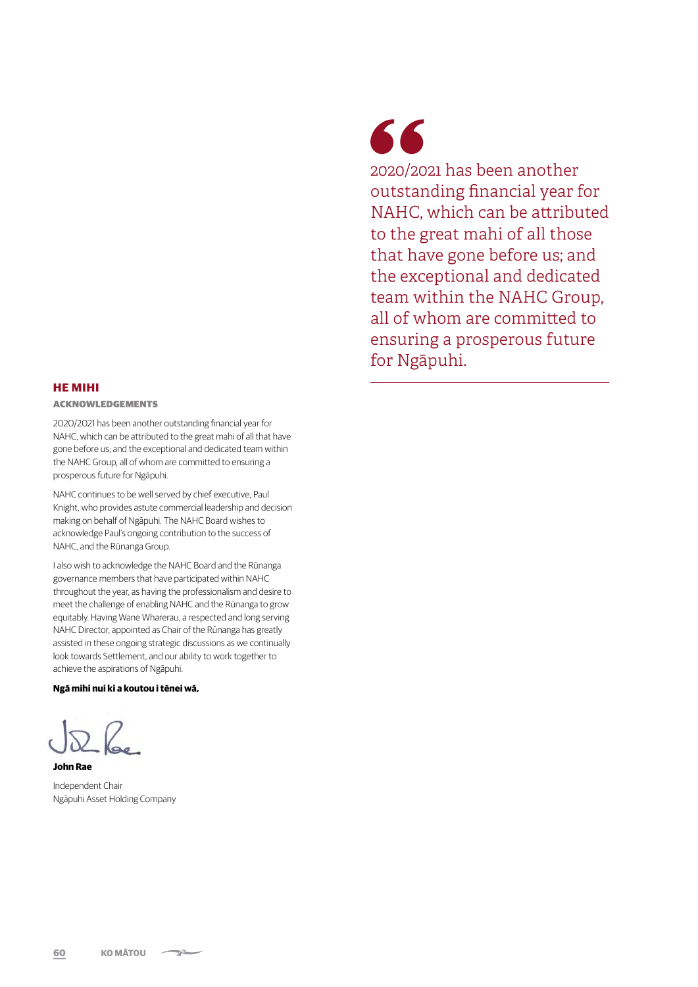#### **HE MIHI**

#### ACKNOWLEDGEMENTS

2020/2021 has been another outstanding financial year for NAHC, which can be attributed to the great mahi of all that have gone before us; and the exceptional and dedicated team within the NAHC Group, all of whom are committed to ensuring a prosperous future for Ngāpuhi.

NAHC continues to be well served by chief executive, Paul Knight, who provides astute commercial leadership and decision making on behalf of Ngāpuhi. The NAHC Board wishes to acknowledge Paul's ongoing contribution to the success of NAHC, and the Rūnanga Group.

I also wish to acknowledge the NAHC Board and the Rūnanga governance members that have participated within NAHC throughout the year, as having the professionalism and desire to meet the challenge of enabling NAHC and the Rūnanga to grow equitably. Having Wane Wharerau, a respected and long serving NAHC Director, appointed as Chair of the Rūnanga has greatly assisted in these ongoing strategic discussions as we continually look towards Settlement, and our ability to work together to achieve the aspirations of Ngāpuhi.

#### **Ngā mihi nui ki a koutou i tēnei wā,**

**John Rae** 

Independent Chair Ngāpuhi Asset Holding Company

## 66

2020/2021 has been another outstanding financial year for NAHC, which can be attributed to the great mahi of all those that have gone before us; and the exceptional and dedicated team within the NAHC Group, all of whom are committed to ensuring a prosperous future for Ngāpuhi.